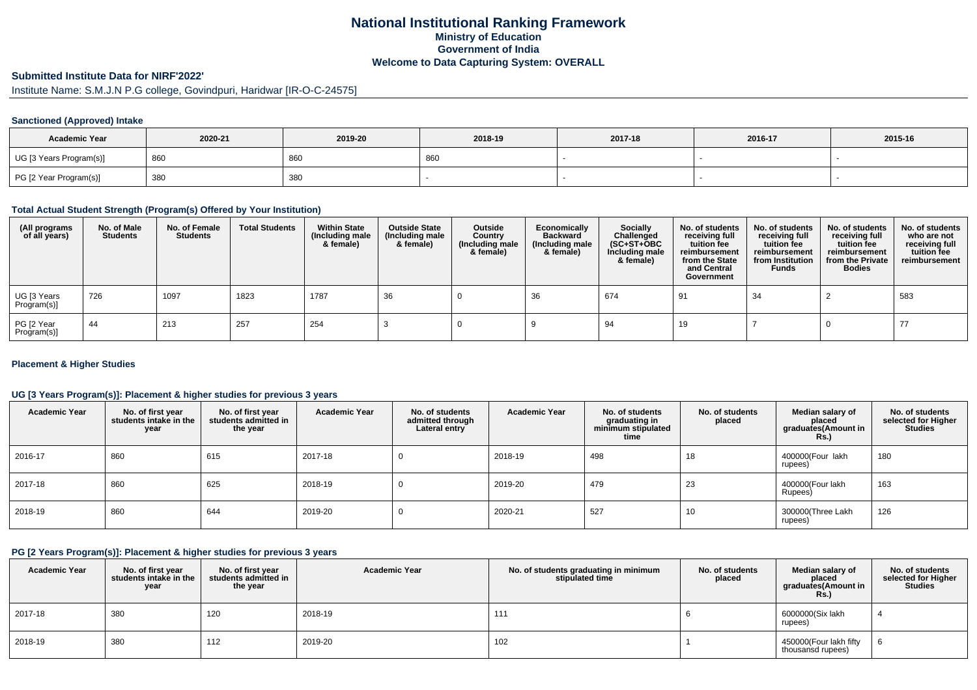# **National Institutional Ranking FrameworkMinistry of Education Government of IndiaWelcome to Data Capturing System: OVERALL**

# **Submitted Institute Data for NIRF'2022'**

# Institute Name: S.M.J.N P.G college, Govindpuri, Haridwar [IR-O-C-24575]

### **Sanctioned (Approved) Intake**

| <b>Academic Year</b>    | 2020-21 | 2019-20 | 2018-19 | 2017-18 | 2016-17 | 2015-16 |
|-------------------------|---------|---------|---------|---------|---------|---------|
| UG [3 Years Program(s)] | 860     | 860     | 860     |         |         |         |
| PG [2 Year Program(s)]  | 380     | 380     |         |         |         |         |

#### **Total Actual Student Strength (Program(s) Offered by Your Institution)**

| (All programs<br>of all years) | No. of Male<br><b>Students</b> | No. of Female<br><b>Students</b> | <b>Total Students</b> | <b>Within State</b><br>(Including male<br>& female) | <b>Outside State</b><br>(Including male<br>& female) | Outside<br>Country<br>(Including male<br>& female) | Economically<br><b>Backward</b><br>(Including male<br>& female) | Socially<br>Challenged<br>$(SC+ST+OBC)$<br>Including male<br>& female) | No. of students<br>receiving full<br>tuition fee<br>reimbursement<br>from the State<br>and Central<br>Government | No. of students<br>receiving full<br>tuition fee<br>reimbursement<br>from Institution<br><b>Funds</b> | No. of students<br>receiving full<br>tuition fee<br>reimbursement<br>from the Private<br><b>Bodies</b> | No. of students<br>who are not<br>receiving full<br>tuition fee<br>reimbursement |
|--------------------------------|--------------------------------|----------------------------------|-----------------------|-----------------------------------------------------|------------------------------------------------------|----------------------------------------------------|-----------------------------------------------------------------|------------------------------------------------------------------------|------------------------------------------------------------------------------------------------------------------|-------------------------------------------------------------------------------------------------------|--------------------------------------------------------------------------------------------------------|----------------------------------------------------------------------------------|
| UG [3 Years<br>Program(s)]     | 726                            | 1097                             | 1823                  | 1787                                                | 36                                                   |                                                    | 36                                                              | 674                                                                    | 91                                                                                                               | 34                                                                                                    |                                                                                                        | 583                                                                              |
| PG [2 Year<br>Program(s)]      | -44                            | 213                              | 257                   | 254                                                 |                                                      |                                                    |                                                                 | 94                                                                     | 19                                                                                                               |                                                                                                       |                                                                                                        | -77                                                                              |

### **Placement & Higher Studies**

### **UG [3 Years Program(s)]: Placement & higher studies for previous 3 years**

| <b>Academic Year</b> | No. of first year<br>students intake in the<br>year | No. of first year<br>students admitted in<br>the year | <b>Academic Year</b> | No. of students<br>admitted through<br>Lateral entry | <b>Academic Year</b> | No. of students<br>graduating in<br>minimum stipulated<br>time | No. of students<br>placed | Median salary of<br>placed<br>graduates (Amount in<br><b>Rs.</b> ) | No. of students<br>selected for Higher<br><b>Studies</b> |
|----------------------|-----------------------------------------------------|-------------------------------------------------------|----------------------|------------------------------------------------------|----------------------|----------------------------------------------------------------|---------------------------|--------------------------------------------------------------------|----------------------------------------------------------|
| 2016-17              | 860                                                 | 615                                                   | 2017-18              | υ                                                    | 2018-19              | 498                                                            | 18                        | 400000(Four lakh<br>rupees)                                        | 180                                                      |
| 2017-18              | 860                                                 | 625                                                   | 2018-19              | υ                                                    | 2019-20              | 479                                                            | 23                        | 400000(Four lakh<br>Rupees)                                        | 163                                                      |
| 2018-19              | 860                                                 | 644                                                   | 2019-20              | υ                                                    | 2020-21              | 527                                                            | 10                        | 300000(Three Lakh<br>rupees)                                       | 126                                                      |

#### **PG [2 Years Program(s)]: Placement & higher studies for previous 3 years**

| <b>Academic Year</b> | No. of first year<br>students intake in the<br>year | No. of first vear<br>students admitted in<br>the year | <b>Academic Year</b> | No. of students graduating in minimum<br>stipulated time | No. of students<br>placed | Median salary of<br>placed<br>graduates(Amount in<br><b>Rs.)</b> | No. of students<br>selected for Higher<br><b>Studies</b> |
|----------------------|-----------------------------------------------------|-------------------------------------------------------|----------------------|----------------------------------------------------------|---------------------------|------------------------------------------------------------------|----------------------------------------------------------|
| 2017-18              | 380                                                 | 120                                                   | 2018-19              | 111                                                      |                           | 6000000(Six lakh<br>rupees)                                      |                                                          |
| 2018-19              | 380                                                 | 112                                                   | 2019-20              | 102                                                      |                           | 450000(Four lakh fifty<br>thousansd rupees)                      |                                                          |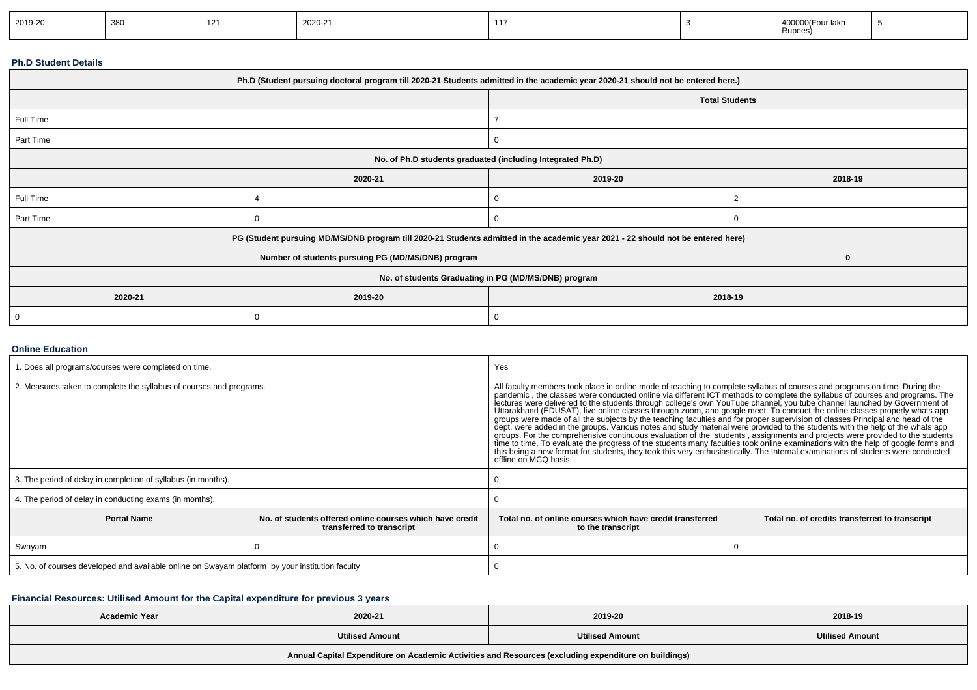| 2019-20 | 380<br>ິບບປ | $\overline{A}$ | $\sim$<br>2020-21 | 117 |  | .<br>iakr<br>Rupees) |  |
|---------|-------------|----------------|-------------------|-----|--|----------------------|--|
|---------|-------------|----------------|-------------------|-----|--|----------------------|--|

#### **Ph.D Student Details**

| Ph.D (Student pursuing doctoral program till 2020-21 Students admitted in the academic year 2020-21 should not be entered here.) |                                                                                                                                  |                                                      |                       |  |  |  |
|----------------------------------------------------------------------------------------------------------------------------------|----------------------------------------------------------------------------------------------------------------------------------|------------------------------------------------------|-----------------------|--|--|--|
|                                                                                                                                  |                                                                                                                                  |                                                      | <b>Total Students</b> |  |  |  |
| Full Time                                                                                                                        |                                                                                                                                  |                                                      |                       |  |  |  |
| Part Time                                                                                                                        |                                                                                                                                  |                                                      |                       |  |  |  |
|                                                                                                                                  | No. of Ph.D students graduated (including Integrated Ph.D)                                                                       |                                                      |                       |  |  |  |
|                                                                                                                                  | 2020-21                                                                                                                          | 2019-20<br>2018-19                                   |                       |  |  |  |
| Full Time                                                                                                                        |                                                                                                                                  |                                                      |                       |  |  |  |
| Part Time                                                                                                                        |                                                                                                                                  |                                                      |                       |  |  |  |
|                                                                                                                                  | PG (Student pursuing MD/MS/DNB program till 2020-21 Students admitted in the academic year 2021 - 22 should not be entered here) |                                                      |                       |  |  |  |
|                                                                                                                                  | Number of students pursuing PG (MD/MS/DNB) program                                                                               |                                                      |                       |  |  |  |
|                                                                                                                                  |                                                                                                                                  | No. of students Graduating in PG (MD/MS/DNB) program |                       |  |  |  |
| 2020-21                                                                                                                          | 2019-20                                                                                                                          | 2018-19                                              |                       |  |  |  |
|                                                                                                                                  |                                                                                                                                  |                                                      |                       |  |  |  |

### **Online Education**

| . Does all programs/courses were completed on time.                                                         |  | Yes                                                                                                                                                                                                                                                                                                                                                                                                                                                                                                                                                                                                                                                                                                                                                                                                                                                                                                                                                                                                                                                                                                                                                                    |                                                |  |
|-------------------------------------------------------------------------------------------------------------|--|------------------------------------------------------------------------------------------------------------------------------------------------------------------------------------------------------------------------------------------------------------------------------------------------------------------------------------------------------------------------------------------------------------------------------------------------------------------------------------------------------------------------------------------------------------------------------------------------------------------------------------------------------------------------------------------------------------------------------------------------------------------------------------------------------------------------------------------------------------------------------------------------------------------------------------------------------------------------------------------------------------------------------------------------------------------------------------------------------------------------------------------------------------------------|------------------------------------------------|--|
| 2. Measures taken to complete the syllabus of courses and programs.                                         |  | All faculty members took place in online mode of teaching to complete syllabus of courses and programs on time. During the<br>pandemic, the classes were conducted online via different ICT methods to complete the syllabus of courses and programs. The<br>lectures were delivered to the students through college's own YouTube channel, you tube channel launched by Government of<br>Uttarakhand (EDUSAT), live online classes through zoom, and google meet. To conduct the online class<br>groups were made of all the subjects by the teaching faculties and for proper supervision of classes Principal and head of the<br>dept. were added in the groups. Various notes and study material were provided to the students with the help of the whats app<br>groups. For the comprehensive continuous evaluation of the students, assignments and projects we<br>time to time. To evaluate the progress of the students many faculties took online examinations with the help of google forms and<br>this being a new format for students, they took this very enthusiastically. The Internal examinations of students were conducted<br>offline on MCQ basis. |                                                |  |
| 3. The period of delay in completion of syllabus (in months).                                               |  |                                                                                                                                                                                                                                                                                                                                                                                                                                                                                                                                                                                                                                                                                                                                                                                                                                                                                                                                                                                                                                                                                                                                                                        |                                                |  |
| 4. The period of delay in conducting exams (in months).                                                     |  |                                                                                                                                                                                                                                                                                                                                                                                                                                                                                                                                                                                                                                                                                                                                                                                                                                                                                                                                                                                                                                                                                                                                                                        |                                                |  |
| <b>Portal Name</b><br>No. of students offered online courses which have credit<br>transferred to transcript |  | Total no, of online courses which have credit transferred<br>to the transcript                                                                                                                                                                                                                                                                                                                                                                                                                                                                                                                                                                                                                                                                                                                                                                                                                                                                                                                                                                                                                                                                                         | Total no. of credits transferred to transcript |  |
| Swayam                                                                                                      |  |                                                                                                                                                                                                                                                                                                                                                                                                                                                                                                                                                                                                                                                                                                                                                                                                                                                                                                                                                                                                                                                                                                                                                                        |                                                |  |
| 5. No. of courses developed and available online on Swayam platform by your institution faculty             |  |                                                                                                                                                                                                                                                                                                                                                                                                                                                                                                                                                                                                                                                                                                                                                                                                                                                                                                                                                                                                                                                                                                                                                                        |                                                |  |

### **Financial Resources: Utilised Amount for the Capital expenditure for previous 3 years**

| <b>Academic Year</b>                                                                                 | 2020-21                | 2019-20                | 2018-19                |  |  |  |
|------------------------------------------------------------------------------------------------------|------------------------|------------------------|------------------------|--|--|--|
|                                                                                                      | <b>Utilised Amount</b> | <b>Utilised Amount</b> | <b>Utilised Amount</b> |  |  |  |
| Annual Capital Expenditure on Academic Activities and Resources (excluding expenditure on buildings) |                        |                        |                        |  |  |  |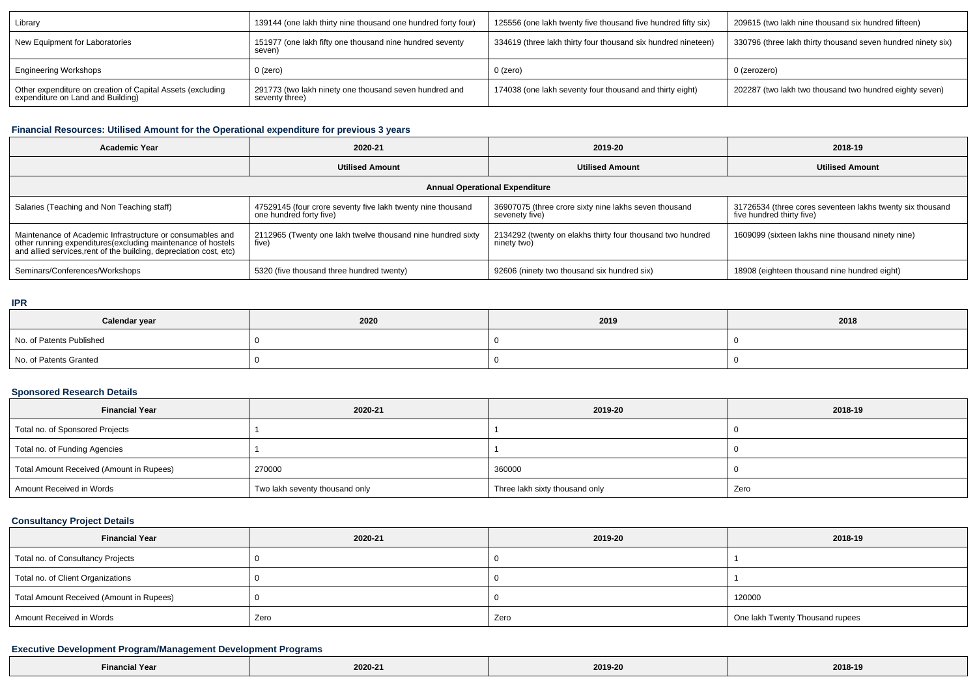| Library                                                                                         | 139144 (one lakh thirty nine thousand one hundred forty four)            | 125556 (one lakh twenty five thousand five hundred fifty six) | 209615 (two lakh nine thousand six hundred fifteen)          |
|-------------------------------------------------------------------------------------------------|--------------------------------------------------------------------------|---------------------------------------------------------------|--------------------------------------------------------------|
| New Equipment for Laboratories                                                                  | 151977 (one lakh fifty one thousand nine hundred seventy<br>seven)       | 334619 (three lakh thirty four thousand six hundred nineteen) | 330796 (three lakh thirty thousand seven hundred ninety six) |
| <b>Engineering Workshops</b>                                                                    | 0 (zero)                                                                 | 0 (zero)                                                      | 0 (zerozero)                                                 |
| Other expenditure on creation of Capital Assets (excluding<br>expenditure on Land and Building) | 291773 (two lakh ninety one thousand seven hundred and<br>seventy three) | 174038 (one lakh seventy four thousand and thirty eight)      | 202287 (two lakh two thousand two hundred eighty seven)      |

## **Financial Resources: Utilised Amount for the Operational expenditure for previous 3 years**

| <b>Academic Year</b>                                                                                                                                                                           | 2020-21                                                                                | 2019-20                                                                   | 2018-19                                                                                |  |  |  |  |  |
|------------------------------------------------------------------------------------------------------------------------------------------------------------------------------------------------|----------------------------------------------------------------------------------------|---------------------------------------------------------------------------|----------------------------------------------------------------------------------------|--|--|--|--|--|
|                                                                                                                                                                                                | <b>Utilised Amount</b>                                                                 | <b>Utilised Amount</b>                                                    | <b>Utilised Amount</b>                                                                 |  |  |  |  |  |
| <b>Annual Operational Expenditure</b>                                                                                                                                                          |                                                                                        |                                                                           |                                                                                        |  |  |  |  |  |
| Salaries (Teaching and Non Teaching staff)                                                                                                                                                     | 47529145 (four crore seventy five lakh twenty nine thousand<br>one hundred forty five) | 36907075 (three crore sixty nine lakhs seven thousand<br>sevenety five)   | 31726534 (three cores seventeen lakhs twenty six thousand<br>five hundred thirty five) |  |  |  |  |  |
| Maintenance of Academic Infrastructure or consumables and<br>other running expenditures(excluding maintenance of hostels<br>and allied services, rent of the building, depreciation cost, etc) | 2112965 (Twenty one lakh twelve thousand nine hundred sixty<br>five)                   | 2134292 (twenty on elakhs thirty four thousand two hundred<br>ninety two) | 1609099 (sixteen lakhs nine thousand ninety nine)                                      |  |  |  |  |  |
| Seminars/Conferences/Workshops                                                                                                                                                                 | 5320 (five thousand three hundred twenty)                                              | 92606 (ninety two thousand six hundred six)                               | 18908 (eighteen thousand nine hundred eight)                                           |  |  |  |  |  |

#### **IPR**

 $\Box$ 

| Calendar year            | 2020 | 2019 | 2018 |
|--------------------------|------|------|------|
| No. of Patents Published |      |      |      |
| No. of Patents Granted   |      |      |      |

### **Sponsored Research Details**

| <b>Financial Year</b>                    | 2020-21                        | 2019-20                        | 2018-19 |
|------------------------------------------|--------------------------------|--------------------------------|---------|
| Total no. of Sponsored Projects          |                                |                                |         |
| Total no. of Funding Agencies            |                                |                                |         |
| Total Amount Received (Amount in Rupees) | 270000                         | 360000                         |         |
| Amount Received in Words                 | Two lakh seventy thousand only | Three lakh sixty thousand only | Zero    |

## **Consultancy Project Details**

| <b>Financial Year</b>                    | 2020-21 | 2019-20 | 2018-19                         |
|------------------------------------------|---------|---------|---------------------------------|
| Total no. of Consultancy Projects        |         |         |                                 |
| Total no. of Client Organizations        |         |         |                                 |
| Total Amount Received (Amount in Rupees) |         |         | 120000                          |
| Amount Received in Words                 | Zero    | Zero    | One lakh Twenty Thousand rupees |

## **Executive Development Program/Management Development Programs**

| 2019-20<br>2018-19<br><b>Financial Year</b><br>2020-21 |  |
|--------------------------------------------------------|--|
|--------------------------------------------------------|--|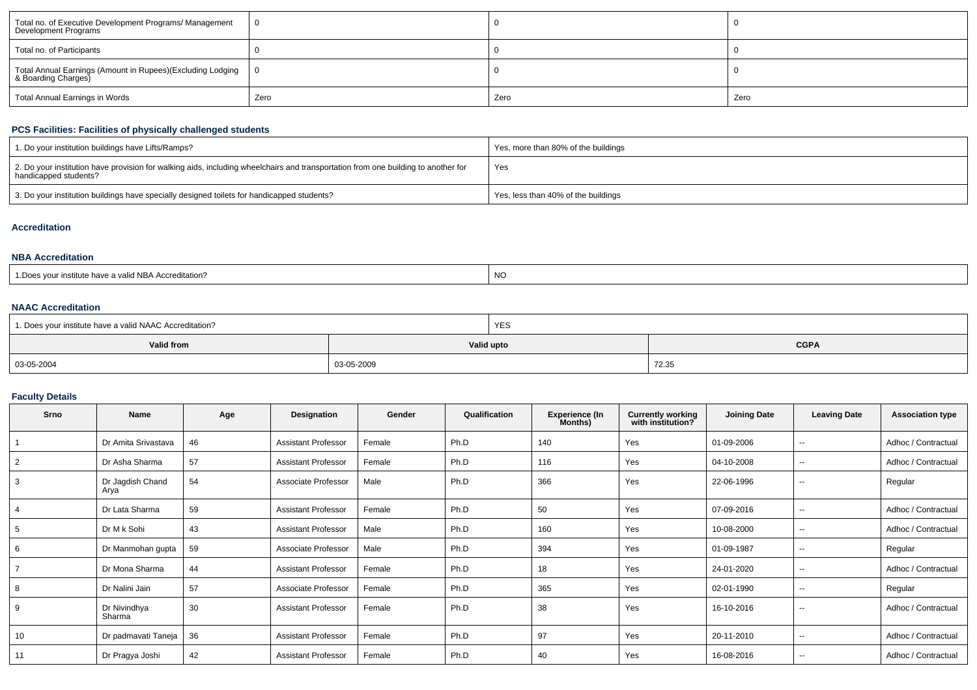| Total no. of Executive Development Programs/ Management<br>Development Programs   |      |      |      |
|-----------------------------------------------------------------------------------|------|------|------|
| Total no. of Participants                                                         |      |      |      |
| Total Annual Earnings (Amount in Rupees)(Excluding Lodging<br>& Boarding Charges) |      |      |      |
| Total Annual Earnings in Words                                                    | Zero | Zero | Zero |

## **PCS Facilities: Facilities of physically challenged students**

| 1. Do your institution buildings have Lifts/Ramps?                                                                                                         | Yes, more than 80% of the buildings |
|------------------------------------------------------------------------------------------------------------------------------------------------------------|-------------------------------------|
| 2. Do your institution have provision for walking aids, including wheelchairs and transportation from one building to another for<br>handicapped students? | Yes                                 |
| 3. Do your institution buildings have specially designed toilets for handicapped students?                                                                 | Yes, less than 40% of the buildings |

### **Accreditation**

### **NBA Accreditation**

| s vour institute have a valid NBA Accreditation? | <b>NC</b> |
|--------------------------------------------------|-----------|
| : Does                                           |           |

### **NAAC Accreditation**

| 1. Does your institute have a valid NAAC Accreditation? |            | <b>YES</b> |             |
|---------------------------------------------------------|------------|------------|-------------|
| Valid from                                              |            | Valid upto | <b>CGPA</b> |
| 03-05-2004                                              | 03-05-2009 |            | 72.35       |

## **Faculty Details**

| Srno           | <b>Name</b>              | Age | Designation                | Gender | Qualification | <b>Experience (In</b><br>Months) | <b>Currently working</b><br>with institution? | <b>Joining Date</b> | <b>Leaving Date</b>      | <b>Association type</b> |
|----------------|--------------------------|-----|----------------------------|--------|---------------|----------------------------------|-----------------------------------------------|---------------------|--------------------------|-------------------------|
|                | Dr Amita Srivastava      | 46  | <b>Assistant Professor</b> | Female | Ph.D          | 140                              | Yes                                           | 01-09-2006          | --                       | Adhoc / Contractual     |
| 2              | Dr Asha Sharma           | 57  | <b>Assistant Professor</b> | Female | Ph.D          | 116                              | Yes                                           | 04-10-2008          | $\sim$ $\sim$            | Adhoc / Contractual     |
| 3              | Dr Jagdish Chand<br>Arya | 54  | Associate Professor        | Male   | Ph.D          | 366                              | Yes                                           | 22-06-1996          | $\sim$                   | Regular                 |
|                | Dr Lata Sharma           | 59  | <b>Assistant Professor</b> | Female | Ph.D          | 50                               | Yes                                           | 07-09-2016          | $\overline{\phantom{a}}$ | Adhoc / Contractual     |
| 5              | Dr M k Sohi              | 43  | <b>Assistant Professor</b> | Male   | Ph.D          | 160                              | Yes                                           | 10-08-2000          | $\overline{\phantom{a}}$ | Adhoc / Contractual     |
| 6              | Dr Manmohan gupta        | 59  | Associate Professor        | Male   | Ph.D          | 394                              | Yes                                           | 01-09-1987          | $\overline{\phantom{a}}$ | Regular                 |
| $\overline{ }$ | Dr Mona Sharma           | 44  | <b>Assistant Professor</b> | Female | Ph.D          | 18                               | Yes                                           | 24-01-2020          | $\sim$ $\sim$            | Adhoc / Contractual     |
| 8              | Dr Nalini Jain           | 57  | Associate Professor        | Female | Ph.D          | 365                              | Yes                                           | 02-01-1990          | $- -$                    | Regular                 |
| 9              | Dr Nivindhya<br>Sharma   | 30  | <b>Assistant Professor</b> | Female | Ph.D          | 38                               | Yes                                           | 16-10-2016          | $\overline{\phantom{a}}$ | Adhoc / Contractual     |
| 10             | Dr padmavati Taneja      | 36  | <b>Assistant Professor</b> | Female | Ph.D          | 97                               | Yes                                           | 20-11-2010          | $\sim$ $\sim$            | Adhoc / Contractual     |
| 11             | Dr Pragya Joshi          | 42  | <b>Assistant Professor</b> | Female | Ph.D          | 40                               | Yes                                           | 16-08-2016          | $\overline{\phantom{a}}$ | Adhoc / Contractual     |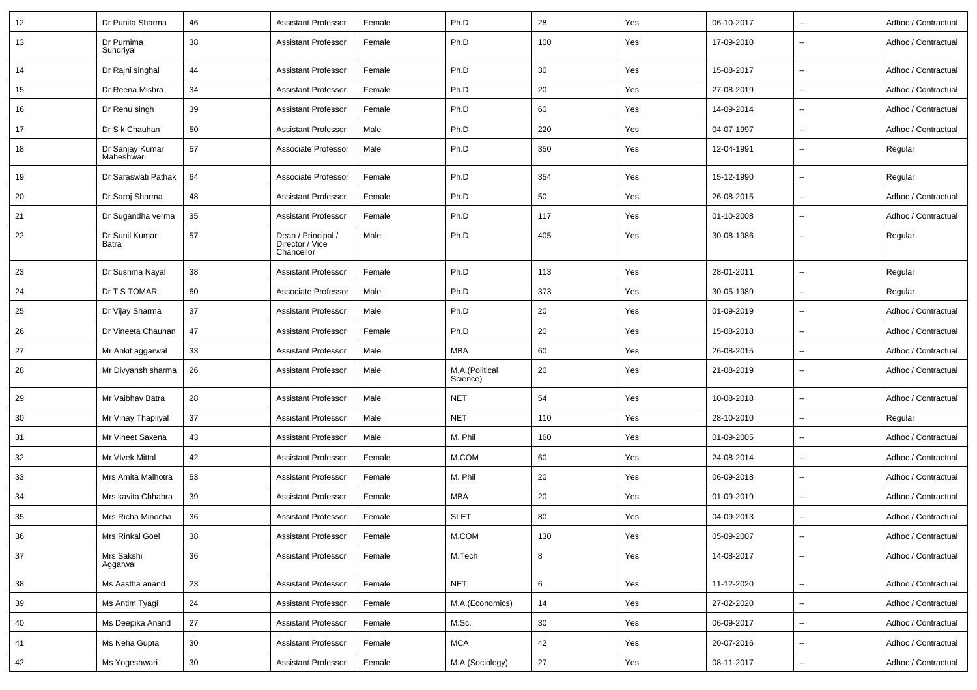| 12     | Dr Punita Sharma              | 46 | Assistant Professor                                 | Female | Ph.D                       | 28  | Yes | 06-10-2017 | $\overline{\phantom{a}}$ | Adhoc / Contractual |
|--------|-------------------------------|----|-----------------------------------------------------|--------|----------------------------|-----|-----|------------|--------------------------|---------------------|
| 13     | Dr Purnima<br>Sundriyal       | 38 | Assistant Professor                                 | Female | Ph.D                       | 100 | Yes | 17-09-2010 | $\overline{\phantom{a}}$ | Adhoc / Contractual |
| 14     | Dr Rajni singhal              | 44 | <b>Assistant Professor</b>                          | Female | Ph.D                       | 30  | Yes | 15-08-2017 | $\overline{\phantom{a}}$ | Adhoc / Contractual |
| 15     | Dr Reena Mishra               | 34 | Assistant Professor                                 | Female | Ph.D                       | 20  | Yes | 27-08-2019 | $\overline{\phantom{a}}$ | Adhoc / Contractual |
| 16     | Dr Renu singh                 | 39 | Assistant Professor                                 | Female | Ph.D                       | 60  | Yes | 14-09-2014 | $\overline{\phantom{a}}$ | Adhoc / Contractual |
| 17     | Dr S k Chauhan                | 50 | Assistant Professor                                 | Male   | Ph.D                       | 220 | Yes | 04-07-1997 | $\sim$                   | Adhoc / Contractual |
| 18     | Dr Sanjay Kumar<br>Maheshwari | 57 | Associate Professor                                 | Male   | Ph.D                       | 350 | Yes | 12-04-1991 | $\ddotsc$                | Regular             |
| 19     | Dr Saraswati Pathak           | 64 | Associate Professor                                 | Female | Ph.D                       | 354 | Yes | 15-12-1990 | $\ddotsc$                | Regular             |
| 20     | Dr Saroj Sharma               | 48 | <b>Assistant Professor</b>                          | Female | Ph.D                       | 50  | Yes | 26-08-2015 | $\overline{\phantom{a}}$ | Adhoc / Contractual |
| 21     | Dr Sugandha verma             | 35 | Assistant Professor                                 | Female | Ph.D                       | 117 | Yes | 01-10-2008 | $\sim$                   | Adhoc / Contractual |
| 22     | Dr Sunil Kumar<br>Batra       | 57 | Dean / Principal /<br>Director / Vice<br>Chancellor | Male   | Ph.D                       | 405 | Yes | 30-08-1986 | $\overline{\phantom{a}}$ | Regular             |
| 23     | Dr Sushma Nayal               | 38 | Assistant Professor                                 | Female | Ph.D                       | 113 | Yes | 28-01-2011 | $\sim$                   | Regular             |
| 24     | Dr T S TOMAR                  | 60 | Associate Professor                                 | Male   | Ph.D                       | 373 | Yes | 30-05-1989 | $\overline{\phantom{a}}$ | Regular             |
| 25     | Dr Vijay Sharma               | 37 | Assistant Professor                                 | Male   | Ph.D                       | 20  | Yes | 01-09-2019 | $\overline{\phantom{a}}$ | Adhoc / Contractual |
| 26     | Dr Vineeta Chauhan            | 47 | Assistant Professor                                 | Female | Ph.D                       | 20  | Yes | 15-08-2018 | $\sim$                   | Adhoc / Contractual |
| 27     | Mr Ankit aggarwal             | 33 | <b>Assistant Professor</b>                          | Male   | <b>MBA</b>                 | 60  | Yes | 26-08-2015 | $\overline{\phantom{a}}$ | Adhoc / Contractual |
| 28     | Mr Divyansh sharma            | 26 | <b>Assistant Professor</b>                          | Male   | M.A.(Political<br>Science) | 20  | Yes | 21-08-2019 | $\overline{\phantom{a}}$ | Adhoc / Contractual |
| 29     | Mr Vaibhav Batra              | 28 | Assistant Professor                                 | Male   | <b>NET</b>                 | 54  | Yes | 10-08-2018 | $\ddotsc$                | Adhoc / Contractual |
| 30     | Mr Vinay Thapliyal            | 37 | Assistant Professor                                 | Male   | <b>NET</b>                 | 110 | Yes | 28-10-2010 | $\sim$                   | Regular             |
| 31     | Mr Vineet Saxena              | 43 | Assistant Professor                                 | Male   | M. Phil                    | 160 | Yes | 01-09-2005 | $\overline{\phantom{a}}$ | Adhoc / Contractual |
| 32     | Mr VIvek Mittal               | 42 | Assistant Professor                                 | Female | M.COM                      | 60  | Yes | 24-08-2014 | $\overline{\phantom{a}}$ | Adhoc / Contractual |
| 33     | Mrs Amita Malhotra            | 53 | Assistant Professor                                 | Female | M. Phil                    | 20  | Yes | 06-09-2018 | $\sim$                   | Adhoc / Contractual |
| 34     | Mrs kavita Chhabra            | 39 | Assistant Professor                                 | Female | <b>MBA</b>                 | 20  | Yes | 01-09-2019 | $\overline{\phantom{a}}$ | Adhoc / Contractual |
| 35     | Mrs Richa Minocha             | 36 | <b>Assistant Professor</b>                          | Female | <b>SLET</b>                | 80  | Yes | 04-09-2013 | $\ddotsc$                | Adhoc / Contractual |
| $36\,$ | Mrs Rinkal Goel               | 38 | <b>Assistant Professor</b>                          | Female | $M.$ COM                   | 130 | Yes | 05-09-2007 | $\rightarrow$            | Adhoc / Contractual |
| 37     | Mrs Sakshi<br>Aggarwal        | 36 | Assistant Professor                                 | Female | M.Tech                     | 8   | Yes | 14-08-2017 | $\sim$                   | Adhoc / Contractual |
| 38     | Ms Aastha anand               | 23 | <b>Assistant Professor</b>                          | Female | <b>NET</b>                 | 6   | Yes | 11-12-2020 | $\sim$                   | Adhoc / Contractual |
| 39     | Ms Antim Tyagi                | 24 | <b>Assistant Professor</b>                          | Female | M.A.(Economics)            | 14  | Yes | 27-02-2020 | $\overline{\phantom{a}}$ | Adhoc / Contractual |
| 40     | Ms Deepika Anand              | 27 | <b>Assistant Professor</b>                          | Female | M.Sc.                      | 30  | Yes | 06-09-2017 | $\sim$                   | Adhoc / Contractual |
| 41     | Ms Neha Gupta                 | 30 | <b>Assistant Professor</b>                          | Female | <b>MCA</b>                 | 42  | Yes | 20-07-2016 | $\overline{\phantom{a}}$ | Adhoc / Contractual |
| 42     | Ms Yogeshwari                 | 30 | <b>Assistant Professor</b>                          | Female | M.A.(Sociology)            | 27  | Yes | 08-11-2017 | $\overline{\phantom{a}}$ | Adhoc / Contractual |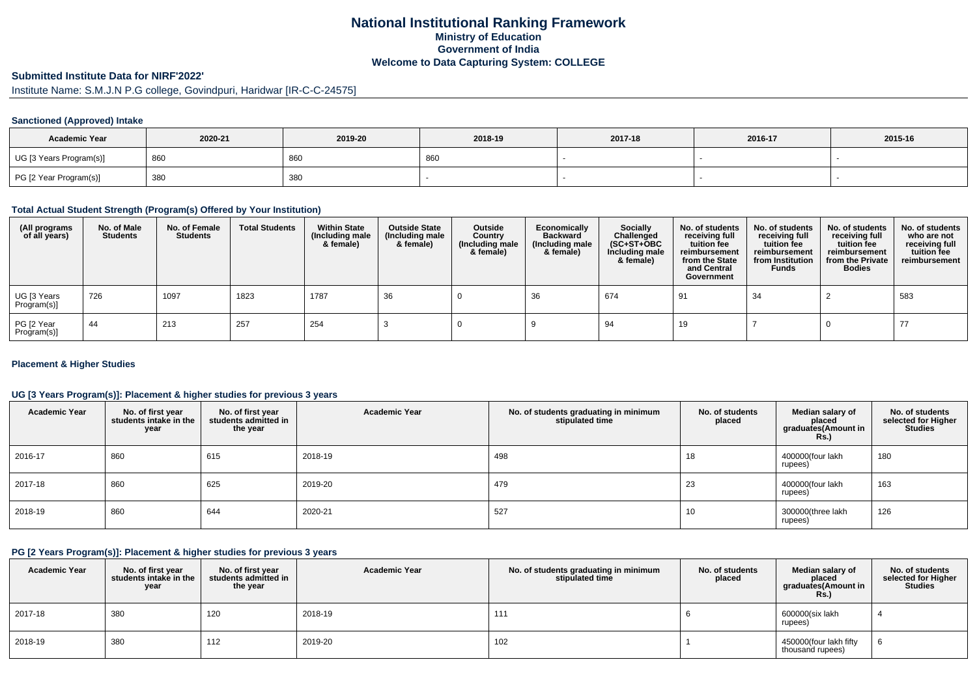# **National Institutional Ranking FrameworkMinistry of Education Government of IndiaWelcome to Data Capturing System: COLLEGE**

# **Submitted Institute Data for NIRF'2022'**

# Institute Name: S.M.J.N P.G college, Govindpuri, Haridwar [IR-C-C-24575]

### **Sanctioned (Approved) Intake**

| <b>Academic Year</b>    | 2020-21 | 2019-20 | 2018-19 | 2017-18 | 2016-17 | 2015-16 |
|-------------------------|---------|---------|---------|---------|---------|---------|
| UG [3 Years Program(s)] | 860     | 860     | 860     |         |         |         |
| PG [2 Year Program(s)]  | 380     | 380     |         |         |         |         |

#### **Total Actual Student Strength (Program(s) Offered by Your Institution)**

| (All programs<br>of all years) | No. of Male<br><b>Students</b> | No. of Female<br><b>Students</b> | <b>Total Students</b> | <b>Within State</b><br>(Including male<br>& female) | <b>Outside State</b><br>(Including male<br>& female) | Outside<br>Country<br>Including male)<br>& female) | Economically<br>Backward<br>(Including male<br>& female) | Socially<br>Challenged<br>$(SC+ST+OBC)$<br>Including male<br>& female) | No. of students<br>receiving full<br>tuition fee<br>reimbursement<br>from the State<br>and Central<br>Government | No. of students<br>receiving full<br>tuition fee<br>reimbursement<br>from Institution<br><b>Funds</b> | No. of students<br>receiving full<br>tuition fee<br>reimbursement<br>from the Private<br><b>Bodies</b> | No. of students<br>who are not<br>receiving full<br>tuition fee<br>reimbursement |
|--------------------------------|--------------------------------|----------------------------------|-----------------------|-----------------------------------------------------|------------------------------------------------------|----------------------------------------------------|----------------------------------------------------------|------------------------------------------------------------------------|------------------------------------------------------------------------------------------------------------------|-------------------------------------------------------------------------------------------------------|--------------------------------------------------------------------------------------------------------|----------------------------------------------------------------------------------|
| UG [3 Years<br>Program(s)]     | 726                            | 1097                             | 1823                  | 1787                                                | 36                                                   |                                                    | 36                                                       | 674                                                                    | 91                                                                                                               | 34                                                                                                    |                                                                                                        | 583                                                                              |
| PG [2 Year<br>Program(s)]      | 44                             | 213                              | 257                   | 254                                                 |                                                      |                                                    |                                                          | 94                                                                     | 19                                                                                                               |                                                                                                       |                                                                                                        | 77                                                                               |

### **Placement & Higher Studies**

### **UG [3 Years Program(s)]: Placement & higher studies for previous 3 years**

| <b>Academic Year</b> | No. of first year<br>students intake in the<br>year | No. of first year<br>students admitted in<br>the year | <b>Academic Year</b> | No. of students graduating in minimum<br>stipulated time | No. of students<br>placed | Median salary of<br>placed<br>graduates(Amount in<br><b>Rs.)</b> | No. of students<br>selected for Higher<br><b>Studies</b> |
|----------------------|-----------------------------------------------------|-------------------------------------------------------|----------------------|----------------------------------------------------------|---------------------------|------------------------------------------------------------------|----------------------------------------------------------|
| 2016-17              | 860                                                 | 615                                                   | 2018-19              | 498                                                      | 18                        | 400000(four lakh<br>rupees)                                      | 180                                                      |
| 2017-18              | 860                                                 | 625                                                   | 2019-20              | 479                                                      | 23                        | 400000(four lakh<br>rupees)                                      | 163                                                      |
| 2018-19              | 860                                                 | 644                                                   | 2020-21              | 527                                                      | 10                        | 300000(three lakh<br>rupees)                                     | 126                                                      |

#### **PG [2 Years Program(s)]: Placement & higher studies for previous 3 years**

| <b>Academic Year</b> | No. of first year<br>students intake in the<br>year | No. of first vear<br>students admitted in<br>the year | <b>Academic Year</b> | No. of students graduating in minimum<br>stipulated time | No. of students<br>placed | Median salary of<br>placed<br>graduates(Amount in<br><b>Rs.)</b> | No. of students<br>selected for Higher<br><b>Studies</b> |
|----------------------|-----------------------------------------------------|-------------------------------------------------------|----------------------|----------------------------------------------------------|---------------------------|------------------------------------------------------------------|----------------------------------------------------------|
| 2017-18              | 380                                                 | 120                                                   | 2018-19              | 111                                                      |                           | 600000(six lakh<br>rupees)                                       |                                                          |
| 2018-19              | 380                                                 | 112                                                   | 2019-20              | 102                                                      |                           | 450000(four lakh fifty<br>thousand rupees)                       |                                                          |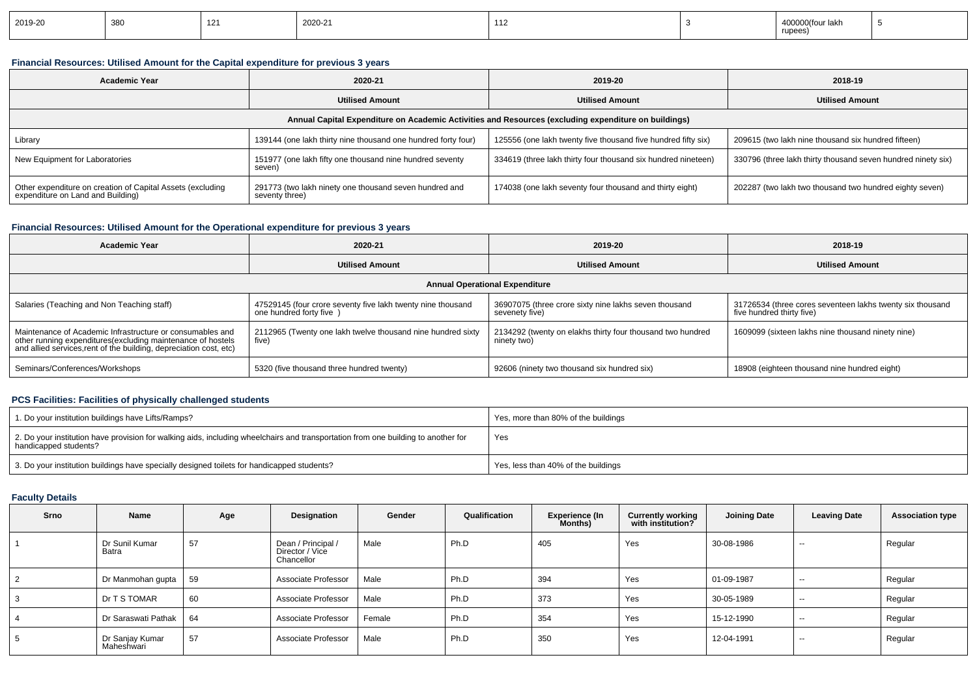| 2019-20 | 380 | 14 | 2020-21 | $\overline{A}$<br>11 L |  | 400000(four lakh<br>rupees) |  |
|---------|-----|----|---------|------------------------|--|-----------------------------|--|
|---------|-----|----|---------|------------------------|--|-----------------------------|--|

### **Financial Resources: Utilised Amount for the Capital expenditure for previous 3 years**

| <b>Academic Year</b>                                                                                 | 2020-21                                                                  | 2019-20                                                       | 2018-19                                                      |  |  |  |  |  |  |
|------------------------------------------------------------------------------------------------------|--------------------------------------------------------------------------|---------------------------------------------------------------|--------------------------------------------------------------|--|--|--|--|--|--|
|                                                                                                      | <b>Utilised Amount</b>                                                   |                                                               | <b>Utilised Amount</b>                                       |  |  |  |  |  |  |
| Annual Capital Expenditure on Academic Activities and Resources (excluding expenditure on buildings) |                                                                          |                                                               |                                                              |  |  |  |  |  |  |
| Library                                                                                              | 139144 (one lakh thirty nine thousand one hundred forty four)            | 125556 (one lakh twenty five thousand five hundred fifty six) | 209615 (two lakh nine thousand six hundred fifteen)          |  |  |  |  |  |  |
| New Equipment for Laboratories                                                                       | 151977 (one lakh fifty one thousand nine hundred seventy<br>seven)       | 334619 (three lakh thirty four thousand six hundred nineteen) | 330796 (three lakh thirty thousand seven hundred ninety six) |  |  |  |  |  |  |
| Other expenditure on creation of Capital Assets (excluding<br>expenditure on Land and Building)      | 291773 (two lakh ninety one thousand seven hundred and<br>seventy three) | 174038 (one lakh seventy four thousand and thirty eight)      | 202287 (two lakh two thousand two hundred eighty seven)      |  |  |  |  |  |  |

### **Financial Resources: Utilised Amount for the Operational expenditure for previous 3 years**

| <b>Academic Year</b>                                                                                                                                                                            | 2020-21                                                                                 |                                                                           | 2018-19                                                                                |  |  |  |  |  |  |
|-------------------------------------------------------------------------------------------------------------------------------------------------------------------------------------------------|-----------------------------------------------------------------------------------------|---------------------------------------------------------------------------|----------------------------------------------------------------------------------------|--|--|--|--|--|--|
|                                                                                                                                                                                                 | <b>Utilised Amount</b>                                                                  | <b>Utilised Amount</b>                                                    | <b>Utilised Amount</b>                                                                 |  |  |  |  |  |  |
| <b>Annual Operational Expenditure</b>                                                                                                                                                           |                                                                                         |                                                                           |                                                                                        |  |  |  |  |  |  |
| Salaries (Teaching and Non Teaching staff)                                                                                                                                                      | 47529145 (four crore seventy five lakh twenty nine thousand<br>one hundred forty five ) | 36907075 (three crore sixty nine lakhs seven thousand<br>sevenety five)   | 31726534 (three cores seventeen lakhs twenty six thousand<br>five hundred thirty five) |  |  |  |  |  |  |
| Maintenance of Academic Infrastructure or consumables and<br>other running expenditures (excluding maintenance of hostels<br>and allied services, rent of the building, depreciation cost, etc) | 2112965 (Twenty one lakh twelve thousand nine hundred sixty<br>five)                    | 2134292 (twenty on elakhs thirty four thousand two hundred<br>ninety two) | 1609099 (sixteen lakhs nine thousand ninety nine)                                      |  |  |  |  |  |  |
| Seminars/Conferences/Workshops                                                                                                                                                                  | 5320 (five thousand three hundred twenty)                                               | 92606 (ninety two thousand six hundred six)                               | 18908 (eighteen thousand nine hundred eight)                                           |  |  |  |  |  |  |

## **PCS Facilities: Facilities of physically challenged students**

| 1. Do your institution buildings have Lifts/Ramps?                                                                                                         | Yes, more than 80% of the buildings |
|------------------------------------------------------------------------------------------------------------------------------------------------------------|-------------------------------------|
| 2. Do your institution have provision for walking aids, including wheelchairs and transportation from one building to another for<br>handicapped students? | Yes                                 |
| 3. Do your institution buildings have specially designed toilets for handicapped students?                                                                 | Yes, less than 40% of the buildings |

### **Faculty Details**

| Srno | Name                          | Age | Designation                                         | Gender | Qualification | <b>Experience (In</b><br>Months) | <b>Currently working</b><br>with institution? | <b>Joining Date</b> | <b>Leaving Date</b>      | <b>Association type</b> |
|------|-------------------------------|-----|-----------------------------------------------------|--------|---------------|----------------------------------|-----------------------------------------------|---------------------|--------------------------|-------------------------|
|      | Dr Sunil Kumar<br>Batra       | 57  | Dean / Principal /<br>Director / Vice<br>Chancellor | Male   | Ph.D          | 405                              | Yes                                           | 30-08-1986          | $\overline{\phantom{a}}$ | Regular                 |
| 2    | Dr Manmohan gupta             | 59  | Associate Professor                                 | Male   | Ph.D          | 394                              | Yes                                           | 01-09-1987          | $\sim$                   | Regular                 |
| 3    | Dr T S TOMAR                  | 60  | Associate Professor                                 | Male   | Ph.D          | 373                              | Yes                                           | 30-05-1989          | $- -$                    | Regular                 |
| 4    | Dr Saraswati Pathak           | 64  | Associate Professor                                 | Female | Ph.D          | 354                              | Yes                                           | 15-12-1990          | $- -$                    | Regular                 |
| 5    | Dr Sanjay Kumar<br>Maheshwari | 57  | Associate Professor                                 | Male   | Ph.D          | 350                              | Yes                                           | 12-04-1991          | $\sim$                   | Regular                 |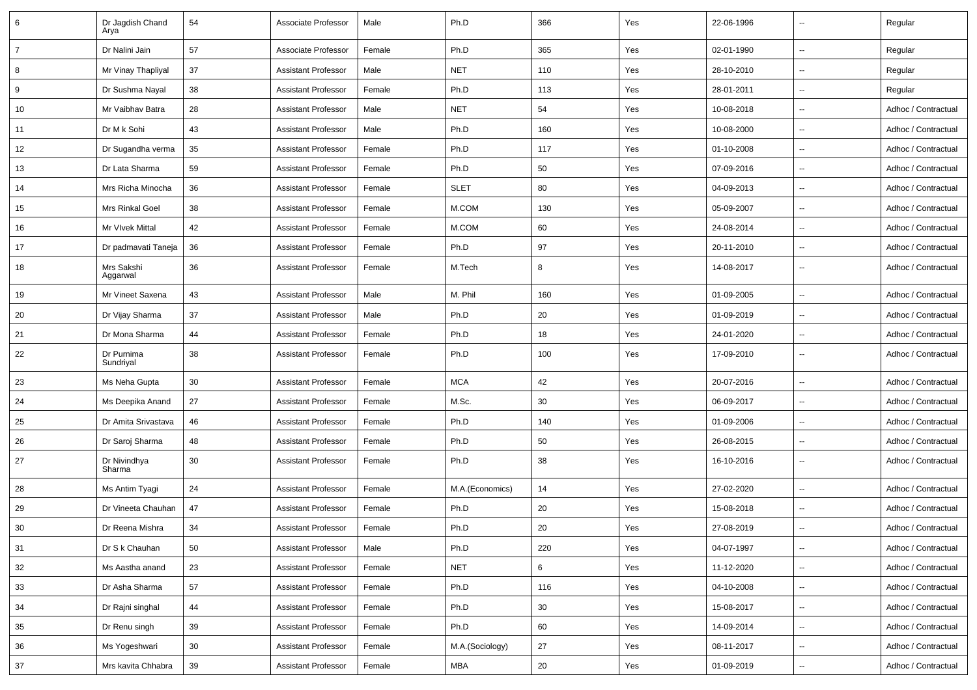| 6              | Dr Jagdish Chand<br>Arya | 54 | Associate Professor        | Male   | Ph.D            | 366    | Yes | 22-06-1996 |                          | Regular             |
|----------------|--------------------------|----|----------------------------|--------|-----------------|--------|-----|------------|--------------------------|---------------------|
| $\overline{7}$ | Dr Nalini Jain           | 57 | Associate Professor        | Female | Ph.D            | 365    | Yes | 02-01-1990 |                          | Regular             |
| 8              | Mr Vinay Thapliyal       | 37 | Assistant Professor        | Male   | <b>NET</b>      | 110    | Yes | 28-10-2010 | $\overline{\phantom{a}}$ | Regular             |
| 9              | Dr Sushma Nayal          | 38 | Assistant Professor        | Female | Ph.D            | 113    | Yes | 28-01-2011 |                          | Regular             |
| 10             | Mr Vaibhav Batra         | 28 | <b>Assistant Professor</b> | Male   | <b>NET</b>      | 54     | Yes | 10-08-2018 |                          | Adhoc / Contractual |
| 11             | Dr M k Sohi              | 43 | Assistant Professor        | Male   | Ph.D            | 160    | Yes | 10-08-2000 | $\overline{\phantom{a}}$ | Adhoc / Contractual |
| 12             | Dr Sugandha verma        | 35 | <b>Assistant Professor</b> | Female | Ph.D            | 117    | Yes | 01-10-2008 | $\overline{\phantom{a}}$ | Adhoc / Contractual |
| 13             | Dr Lata Sharma           | 59 | <b>Assistant Professor</b> | Female | Ph.D            | 50     | Yes | 07-09-2016 | $\sim$                   | Adhoc / Contractual |
| 14             | Mrs Richa Minocha        | 36 | Assistant Professor        | Female | <b>SLET</b>     | 80     | Yes | 04-09-2013 |                          | Adhoc / Contractual |
| 15             | Mrs Rinkal Goel          | 38 | <b>Assistant Professor</b> | Female | M.COM           | 130    | Yes | 05-09-2007 | $\overline{\phantom{a}}$ | Adhoc / Contractual |
| 16             | Mr VIvek Mittal          | 42 | Assistant Professor        | Female | M.COM           | 60     | Yes | 24-08-2014 |                          | Adhoc / Contractual |
| 17             | Dr padmavati Taneja      | 36 | Assistant Professor        | Female | Ph.D            | 97     | Yes | 20-11-2010 | $\overline{\phantom{a}}$ | Adhoc / Contractual |
| 18             | Mrs Sakshi<br>Aggarwal   | 36 | <b>Assistant Professor</b> | Female | M.Tech          | 8      | Yes | 14-08-2017 |                          | Adhoc / Contractual |
| 19             | Mr Vineet Saxena         | 43 | <b>Assistant Professor</b> | Male   | M. Phil         | 160    | Yes | 01-09-2005 | $\ddotsc$                | Adhoc / Contractual |
| 20             | Dr Vijay Sharma          | 37 | Assistant Professor        | Male   | Ph.D            | 20     | Yes | 01-09-2019 | $\overline{\phantom{a}}$ | Adhoc / Contractual |
| 21             | Dr Mona Sharma           | 44 | Assistant Professor        | Female | Ph.D            | 18     | Yes | 24-01-2020 | $\overline{\phantom{a}}$ | Adhoc / Contractual |
| 22             | Dr Purnima<br>Sundriyal  | 38 | <b>Assistant Professor</b> | Female | Ph.D            | 100    | Yes | 17-09-2010 |                          | Adhoc / Contractual |
| 23             | Ms Neha Gupta            | 30 | Assistant Professor        | Female | <b>MCA</b>      | 42     | Yes | 20-07-2016 | $\overline{\phantom{a}}$ | Adhoc / Contractual |
| 24             | Ms Deepika Anand         | 27 | Assistant Professor        | Female | M.Sc.           | 30     | Yes | 06-09-2017 |                          | Adhoc / Contractual |
| 25             | Dr Amita Srivastava      | 46 | Assistant Professor        | Female | Ph.D            | 140    | Yes | 01-09-2006 |                          | Adhoc / Contractual |
| 26             | Dr Saroj Sharma          | 48 | Assistant Professor        | Female | Ph.D            | 50     | Yes | 26-08-2015 |                          | Adhoc / Contractual |
| 27             | Dr Nivindhya<br>Sharma   | 30 | Assistant Professor        | Female | Ph.D            | 38     | Yes | 16-10-2016 | $\overline{\phantom{a}}$ | Adhoc / Contractual |
| 28             | Ms Antim Tyagi           | 24 | Assistant Professor        | Female | M.A.(Economics) | 14     | Yes | 27-02-2020 | $\overline{\phantom{a}}$ | Adhoc / Contractual |
| 29             | Dr Vineeta Chauhan       | 47 | Assistant Professor        | Female | Ph.D            | 20     | Yes | 15-08-2018 |                          | Adhoc / Contractual |
| 30             | Dr Reena Mishra          | 34 | <b>Assistant Professor</b> | Female | Ph.D            | 20     | Yes | 27-08-2019 |                          | Adhoc / Contractual |
| 31             | Dr S k Chauhan           | 50 | <b>Assistant Professor</b> | Male   | Ph.D            | 220    | Yes | 04-07-1997 |                          | Adhoc / Contractual |
| 32             | Ms Aastha anand          | 23 | <b>Assistant Professor</b> | Female | <b>NET</b>      | 6      | Yes | 11-12-2020 |                          | Adhoc / Contractual |
| 33             | Dr Asha Sharma           | 57 | <b>Assistant Professor</b> | Female | Ph.D            | 116    | Yes | 04-10-2008 |                          | Adhoc / Contractual |
| 34             | Dr Rajni singhal         | 44 | <b>Assistant Professor</b> | Female | Ph.D            | 30     | Yes | 15-08-2017 | $\sim$                   | Adhoc / Contractual |
| 35             | Dr Renu singh            | 39 | <b>Assistant Professor</b> | Female | Ph.D            | 60     | Yes | 14-09-2014 | $\overline{\phantom{a}}$ | Adhoc / Contractual |
| 36             | Ms Yogeshwari            | 30 | <b>Assistant Professor</b> | Female | M.A.(Sociology) | 27     | Yes | 08-11-2017 | $\overline{\phantom{a}}$ | Adhoc / Contractual |
| 37             | Mrs kavita Chhabra       | 39 | <b>Assistant Professor</b> | Female | MBA             | $20\,$ | Yes | 01-09-2019 | $\overline{\phantom{a}}$ | Adhoc / Contractual |